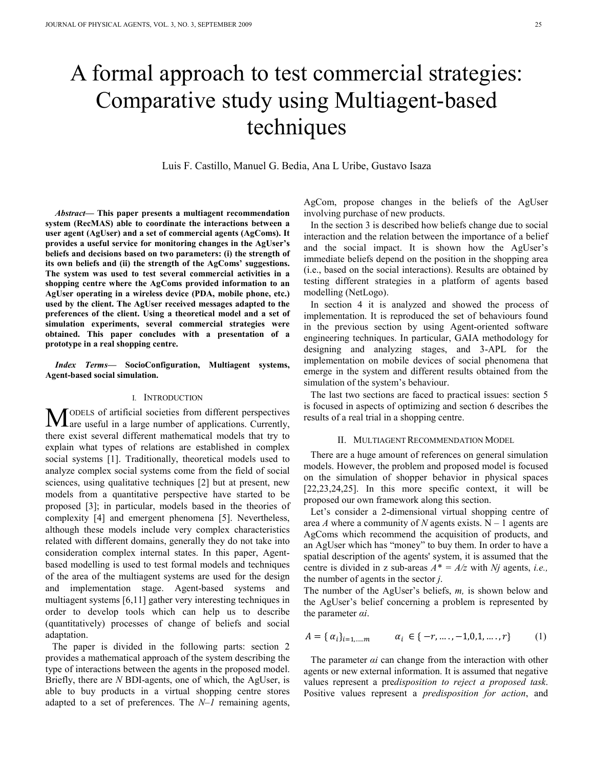# A formal approach to test commercial strategies: Comparative study using Multiagent-based techniques

Luis F. Castillo, Manuel G. Bedia, Ana L Uribe, Gustavo Isaza

*Abstract***— This paper presents a multiagent recommendation system (RecMAS) able to coordinate the interactions between a user agent (AgUser) and a set of commercial agents (AgComs). It provides a useful service for monitoring changes in the AgUser's beliefs and decisions based on two parameters: (i) the strength of its own beliefs and (ii) the strength of the AgComs' suggestions. The system was used to test several commercial activities in a shopping centre where the AgComs provided information to an AgUser operating in a wireless device (PDA, mobile phone, etc.) used by the client. The AgUser received messages adapted to the preferences of the client. Using a theoretical model and a set of simulation experiments, several commercial strategies were obtained. This paper concludes with a presentation of a prototype in a real shopping centre.** 

*Index Terms***— SocioConfiguration, Multiagent systems, Agent-based social simulation.** 

## I. INTRODUCTION

ODELS of artificial societies from different perspectives **M**ODELS of artificial societies from different perspectives are useful in a large number of applications. Currently, there exist several different mathematical models that try to explain what types of relations are established in complex social systems [1]. Traditionally, theoretical models used to analyze complex social systems come from the field of social sciences, using qualitative techniques [2] but at present, new models from a quantitative perspective have started to be proposed [3]; in particular, models based in the theories of complexity [4] and emergent phenomena [5]. Nevertheless, although these models include very complex characteristics related with different domains, generally they do not take into consideration complex internal states. In this paper, Agentbased modelling is used to test formal models and techniques of the area of the multiagent systems are used for the design and implementation stage. Agent-based systems and multiagent systems [6,11] gather very interesting techniques in order to develop tools which can help us to describe (quantitatively) processes of change of beliefs and social adaptation.

The paper is divided in the following parts: section 2 provides a mathematical approach of the system describing the type of interactions between the agents in the proposed model. Briefly, there are *N* BDI-agents, one of which, the AgUser, is able to buy products in a virtual shopping centre stores adapted to a set of preferences. The *N*–*1* remaining agents,

AgCom, propose changes in the beliefs of the AgUser involving purchase of new products.

In the section 3 is described how beliefs change due to social interaction and the relation between the importance of a belief and the social impact. It is shown how the AgUser's immediate beliefs depend on the position in the shopping area (i.e., based on the social interactions). Results are obtained by testing different strategies in a platform of agents based modelling (NetLogo).

In section 4 it is analyzed and showed the process of implementation. It is reproduced the set of behaviours found in the previous section by using Agent-oriented software engineering techniques. In particular, GAIA methodology for designing and analyzing stages, and 3-APL for the implementation on mobile devices of social phenomena that emerge in the system and different results obtained from the simulation of the system's behaviour.

The last two sections are faced to practical issues: section 5 is focused in aspects of optimizing and section 6 describes the results of a real trial in a shopping centre.

#### II. MULTIAGENT RECOMMENDATION MODEL

There are a huge amount of references on general simulation models. However, the problem and proposed model is focused on the simulation of shopper behavior in physical spaces [22,23,24,25]. In this more specific context, it will be proposed our own framework along this section.

Let's consider a 2-dimensional virtual shopping centre of area *A* where a community of *N* agents exists.  $N - 1$  agents are AgComs which recommend the acquisition of products, and an AgUser which has "money" to buy them. In order to have a spatial description of the agents' system, it is assumed that the centre is divided in z sub-areas  $A^* = A/z$  with *Nj* agents, *i.e.*, the number of agents in the sector *j*.

The number of the AgUser's beliefs, *m,* is shown below and the AgUser's belief concerning a problem is represented by the parameter *αi*.

$$
A = \{ \alpha_i \}_{i=1,\dots,m} \qquad \alpha_i \in \{ -r, \dots, -1, 0, 1, \dots, r \} \tag{1}
$$

The parameter *αi* can change from the interaction with other agents or new external information. It is assumed that negative values represent a pre*disposition to reject a proposed task*. Positive values represent a *predisposition for action*, and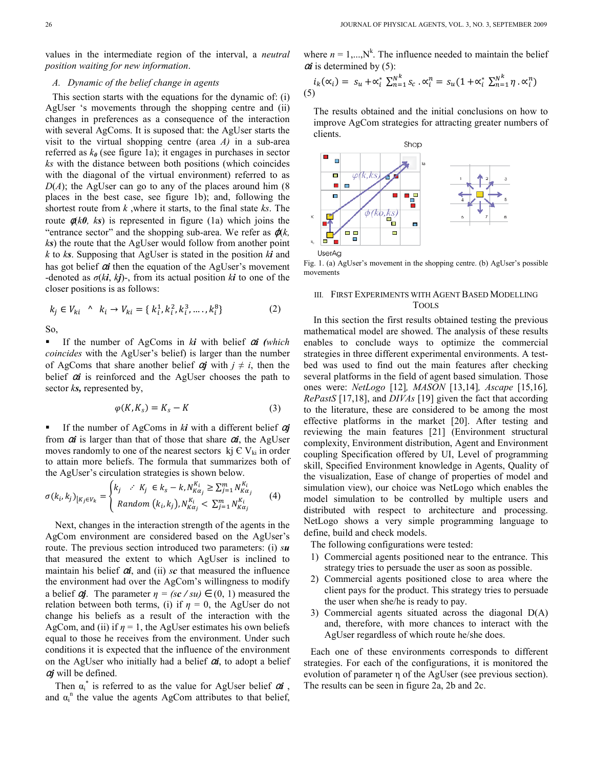values in the intermediate region of the interval, a *neutral position waiting for new information*.

# *A. Dynamic of the belief change in agents*

This section starts with the equations for the dynamic of: (i) AgUser 's movements through the shopping centre and (ii) changes in preferences as a consequence of the interaction with several AgComs. It is suposed that: the AgUser starts the visit to the virtual shopping centre (area *A)* in a sub-area referred as  $k_{\theta}$  (see figure 1a); it engages in purchases in sector *ks* with the distance between both positions (which coincides with the diagonal of the virtual environment) referred to as  $D(A)$ ; the AgUser can go to any of the places around him  $(8)$ places in the best case, see figure 1b); and, following the shortest route from *k* ,where it starts, to the final state *ks*. The route  $\phi(k\theta, ks)$  is represented in figure (1a) which joins the "entrance sector" and the shopping sub-area. We refer as  $\varphi(k, \theta)$ *ks*) the route that the AgUser would follow from another point *k* to *ks*. Supposing that AgUser is stated in the position *ki* and has got belief <sup>α</sup>*i* then the equation of the AgUser's movement -denoted as  $\sigma(k\mathbf{i}, k\mathbf{j})$ -, from its actual position  $k\mathbf{i}$  to one of the closer positions is as follows:

$$
k_j \in V_{ki} \quad \land \quad k_i \to V_{ki} = \{k_i^1, k_i^2, k_i^3, \dots, k_i^8\}
$$
 (2)

So,

■ If the number of AgComs in *ki* with belief  $\alpha i$  (which *coincides* with the AgUser's belief) is larger than the number of AgComs that share another belief  $\alpha j$  with  $j \neq i$ , then the belief  $\alpha i$  is reinforced and the AgUser chooses the path to sector *ks,* represented by,

$$
\varphi(K, K_s) = K_s - K \tag{3}
$$

■ If the number of AgComs in *ki* with a different belief  $\alpha j$ from  $\alpha i$  is larger than that of those that share  $\alpha i$ , the AgUser moves randomly to one of the nearest sectors  $k_j \in V_{ki}$  in order to attain more beliefs. The formula that summarizes both of the AgUser's circulation strategies is shown below.

$$
\sigma(k_i, k_j)_{[K_j \in V_k]} = \begin{cases} k_j & \therefore K_j \in k_s - k, N_{K\alpha_j}^{K_i} \ge \sum_{j=1}^m N_{K\alpha_j}^{K_i} \\ \text{Random } (k_i, k_j), N_{K\alpha_j}^{K_i} < \sum_{j=1}^m N_{K\alpha_j}^{K_i} \end{cases} (4)
$$

Next, changes in the interaction strength of the agents in the AgCom environment are considered based on the AgUser's route. The previous section introduced two parameters: (i) *su* that measured the extent to which AgUser is inclined to maintain his belief α*i*, and (ii) *sc* that measured the influence the environment had over the AgCom's willingness to modify a belief  $\alpha j$ . The parameter  $\eta = (s\mathbf{c} / s\mathbf{u}) \in (0, 1)$  measured the relation between both terms, (i) if  $\eta = 0$ , the AgUser do not change his beliefs as a result of the interaction with the AgCom, and (ii) if  $\eta = 1$ , the AgUser estimates his own beliefs equal to those he receives from the environment. Under such conditions it is expected that the influence of the environment on the AgUser who initially had a belief  $\alpha i$ , to adopt a belief <sup>α</sup>*j* will be defined.

Then  $\alpha_i^*$  is referred to as the value for AgUser belief  $\alpha_i$ , and  $\alpha_i^n$  the value the agents AgCom attributes to that belief,

where  $n = 1,...,N<sup>k</sup>$ . The influence needed to maintain the belief  $\alpha i$  is determined by (5):

$$
i_k(\alpha_i) = s_u + \alpha_i^* \sum_{n=1}^{N^K} s_c \cdot \alpha_i^n = s_u (1 + \alpha_i^* \sum_{n=1}^{N^K} \eta \cdot \alpha_i^n)
$$
  
(5)

The results obtained and the initial conclusions on how to improve AgCom strategies for attracting greater numbers of clients.



Fig. 1. (a) AgUser's movement in the shopping centre. (b) AgUser's possible movements

# III. FIRST EXPERIMENTS WITH AGENT BASED MODELLING TOOLS

In this section the first results obtained testing the previous mathematical model are showed. The analysis of these results enables to conclude ways to optimize the commercial strategies in three different experimental environments. A testbed was used to find out the main features after checking several platforms in the field of agent based simulation. Those ones were: *NetLogo* [12]*, MASON* [13,14]*, Ascape* [15,16]*, RePastS* [17,18], and *DIVAs* [19] given the fact that according to the literature, these are considered to be among the most effective platforms in the market [20]. After testing and reviewing the main features [21] (Environment structural complexity, Environment distribution, Agent and Environment coupling Specification offered by UI, Level of programming skill, Specified Environment knowledge in Agents, Quality of the visualization, Ease of change of properties of model and simulation view), our choice was NetLogo which enables the model simulation to be controlled by multiple users and distributed with respect to architecture and processing. NetLogo shows a very simple programming language to define, build and check models.

The following configurations were tested:

- 1) Commercial agents positioned near to the entrance. This strategy tries to persuade the user as soon as possible.
- 2) Commercial agents positioned close to area where the client pays for the product. This strategy tries to persuade the user when she/he is ready to pay.
- 3) Commercial agents situated across the diagonal D(A) and, therefore, with more chances to interact with the AgUser regardless of which route he/she does.

Each one of these environments corresponds to different strategies. For each of the configurations, it is monitored the evolution of parameter η of the AgUser (see previous section). The results can be seen in figure 2a, 2b and 2c.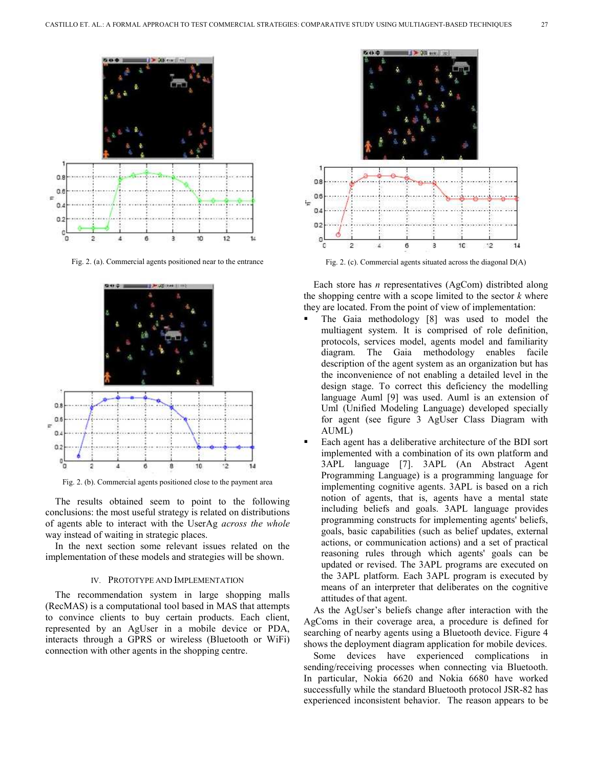

Fig. 2. (a). Commercial agents positioned near to the entrance



Fig. 2. (b). Commercial agents positioned close to the payment area

The results obtained seem to point to the following conclusions: the most useful strategy is related on distributions of agents able to interact with the UserAg *across the whole* way instead of waiting in strategic places.

In the next section some relevant issues related on the implementation of these models and strategies will be shown.

#### IV. PROTOTYPE AND IMPLEMENTATION

The recommendation system in large shopping malls (RecMAS) is a computational tool based in MAS that attempts to convince clients to buy certain products. Each client, represented by an AgUser in a mobile device or PDA, interacts through a GPRS or wireless (Bluetooth or WiFi) connection with other agents in the shopping centre.



Fig. 2. (c). Commercial agents situated across the diagonal D(A)

Each store has *n* representatives (AgCom) distribted along the shopping centre with a scope limited to the sector *k* where they are located. From the point of view of implementation:

- The Gaia methodology [8] was used to model the multiagent system. It is comprised of role definition, protocols, services model, agents model and familiarity diagram. The Gaia methodology enables facile description of the agent system as an organization but has the inconvenience of not enabling a detailed level in the design stage. To correct this deficiency the modelling language Auml [9] was used. Auml is an extension of Uml (Unified Modeling Language) developed specially for agent (see figure 3 AgUser Class Diagram with AUML)
- Each agent has a deliberative architecture of the BDI sort implemented with a combination of its own platform and 3APL language [7]. 3APL (An Abstract Agent Programming Language) is a programming language for implementing cognitive agents. 3APL is based on a rich notion of agents, that is, agents have a mental state including beliefs and goals. 3APL language provides programming constructs for implementing agents' beliefs, goals, basic capabilities (such as belief updates, external actions, or communication actions) and a set of practical reasoning rules through which agents' goals can be updated or revised. The 3APL programs are executed on the 3APL platform. Each 3APL program is executed by means of an interpreter that deliberates on the cognitive attitudes of that agent.

As the AgUser's beliefs change after interaction with the AgComs in their coverage area, a procedure is defined for searching of nearby agents using a Bluetooth device. Figure 4 shows the deployment diagram application for mobile devices.

Some devices have experienced complications in sending/receiving processes when connecting via Bluetooth. In particular, Nokia 6620 and Nokia 6680 have worked successfully while the standard Bluetooth protocol JSR-82 has experienced inconsistent behavior. The reason appears to be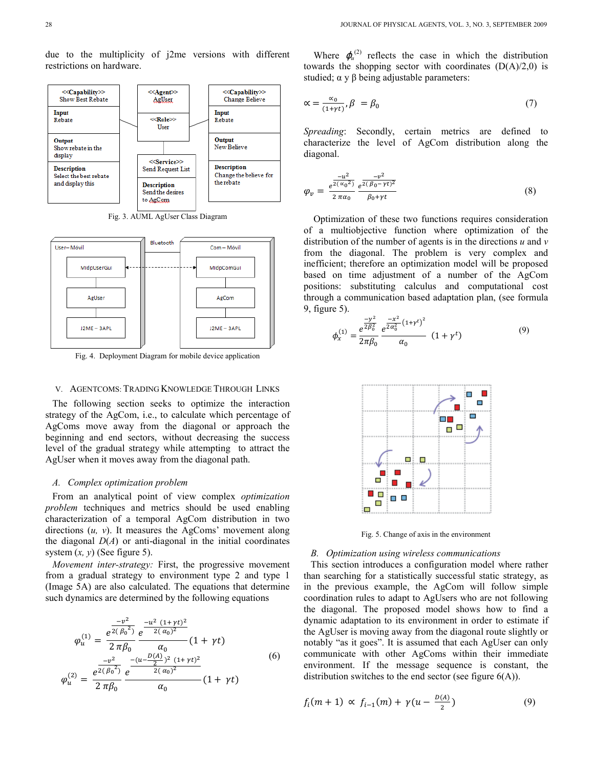due to the multiplicity of j2me versions with different restrictions on hardware.



Fig. 3. AUML AgUser Class Diagram



Fig. 4. Deployment Diagram for mobile device application

### V. AGENTCOMS: TRADING KNOWLEDGE THROUGH LINKS

The following section seeks to optimize the interaction strategy of the AgCom, i.e., to calculate which percentage of AgComs move away from the diagonal or approach the beginning and end sectors, without decreasing the success level of the gradual strategy while attempting to attract the AgUser when it moves away from the diagonal path.

## *A. Complex optimization problem*

From an analytical point of view complex *optimization problem* techniques and metrics should be used enabling characterization of a temporal AgCom distribution in two directions (*u, v*). It measures the AgComs' movement along the diagonal  $D(A)$  or anti-diagonal in the initial coordinates system  $(x, y)$  (See figure 5).

*Movement inter-strategy:* First, the progressive movement from a gradual strategy to environment type 2 and type 1 (Image 5A) are also calculated. The equations that determine such dynamics are determined by the following equations

$$
\varphi_{u}^{(1)} = \frac{e^{\frac{-v^{2}}{2(\beta_{0}^{2})}}}{2 \pi \beta_{0}} \frac{e^{\frac{-u^{2}}{2(\alpha_{0})^{2}}}}{\alpha_{0}} (1 + \gamma t)
$$
\n
$$
\varphi_{u}^{(2)} = \frac{e^{\frac{-v^{2}}{2(\beta_{0}^{2})}}}{2 \pi \beta_{0}} \frac{e^{\frac{-(u - \frac{D(\alpha)}{2})^{2}}{2(\alpha_{0})^{2}} (1 + \gamma t)^{2}}}{\alpha_{0}} (1 + \gamma t)
$$
\n(6)

Where  $\varphi_u^{(2)}$  reflects the case in which the distribution towards the shopping sector with coordinates  $(D(A)/2,0)$  is studied;  $\alpha$  y  $\beta$  being adjustable parameters:

$$
\alpha = \frac{\alpha_0}{(1+\gamma t)}, \beta = \beta_0 \tag{7}
$$

*Spreading*: Secondly, certain metrics are defined to characterize the level of AgCom distribution along the diagonal.

$$
\varphi_{v} = \frac{e^{\frac{-u^{2}}{2(\alpha_{0}^{2})}}}{2 \pi \alpha_{0}} \frac{e^{\frac{-v^{2}}{2(\beta_{0} - \gamma t)^{2}}}}{\beta_{0} + \gamma t}
$$
\n(8)

Optimization of these two functions requires consideration of a multiobjective function where optimization of the distribution of the number of agents is in the directions *u* and *v* from the diagonal. The problem is very complex and inefficient; therefore an optimization model will be proposed based on time adjustment of a number of the AgCom positions: substituting calculus and computational cost through a communication based adaptation plan, (see formula 9, figure 5).

$$
\phi_x^{(1)} = \frac{e^{\frac{-y^2}{2\beta_0^2}}}{2\pi\beta_0} \frac{e^{\frac{-x^2}{2\alpha_0^2}(1+\gamma^t)^2}}{\alpha_0} (1+\gamma^t)
$$
\n(9)



Fig. 5. Change of axis in the environment

#### *B. Optimization using wireless communications*

This section introduces a configuration model where rather than searching for a statistically successful static strategy, as in the previous example, the AgCom will follow simple coordination rules to adapt to AgUsers who are not following the diagonal. The proposed model shows how to find a dynamic adaptation to its environment in order to estimate if the AgUser is moving away from the diagonal route slightly or notably "as it goes". It is assumed that each AgUser can only communicate with other AgComs within their immediate environment. If the message sequence is constant, the distribution switches to the end sector (see figure  $6(A)$ ).

$$
f_i(m+1) \propto f_{i-1}(m) + \gamma (u - \frac{D(A)}{2})
$$
 (9)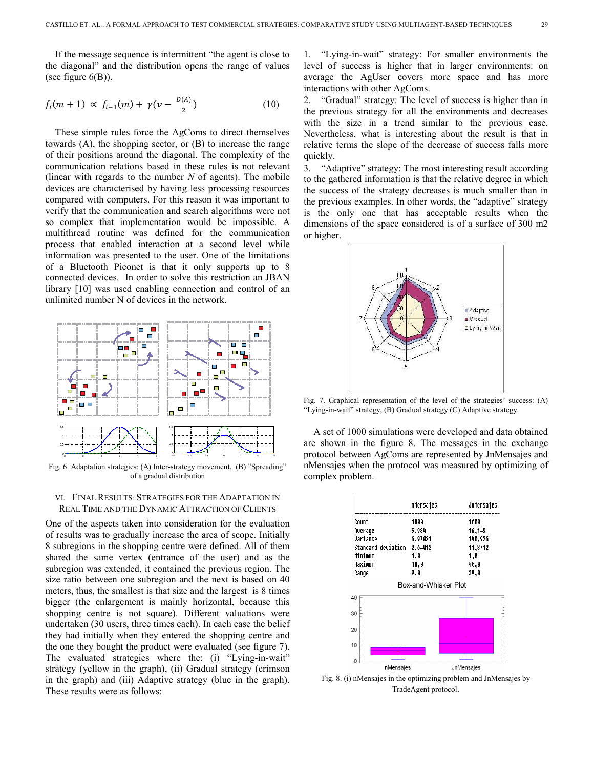If the message sequence is intermittent "the agent is close to the diagonal" and the distribution opens the range of values (see figure  $6(B)$ ).

$$
f_i(m+1) \propto f_{i-1}(m) + \gamma(v - \frac{D(A)}{2})
$$
 (10)

These simple rules force the AgComs to direct themselves towards (A), the shopping sector, or (B) to increase the range of their positions around the diagonal. The complexity of the communication relations based in these rules is not relevant (linear with regards to the number *N* of agents). The mobile devices are characterised by having less processing resources compared with computers. For this reason it was important to verify that the communication and search algorithms were not so complex that implementation would be impossible. A multithread routine was defined for the communication process that enabled interaction at a second level while information was presented to the user. One of the limitations of a Bluetooth Piconet is that it only supports up to 8 connected devices. In order to solve this restriction an JBAN library [10] was used enabling connection and control of an unlimited number N of devices in the network.



Fig. 6. Adaptation strategies: (A) Inter-strategy movement, (B) "Spreading" of a gradual distribution

# VI. FINAL RESULTS: STRATEGIES FOR THE ADAPTATION IN REAL TIME AND THE DYNAMIC ATTRACTION OF CLIENTS

One of the aspects taken into consideration for the evaluation of results was to gradually increase the area of scope. Initially 8 subregions in the shopping centre were defined. All of them shared the same vertex (entrance of the user) and as the subregion was extended, it contained the previous region. The size ratio between one subregion and the next is based on 40 meters, thus, the smallest is that size and the largest is 8 times bigger (the enlargement is mainly horizontal, because this shopping centre is not square). Different valuations were undertaken (30 users, three times each). In each case the belief they had initially when they entered the shopping centre and the one they bought the product were evaluated (see figure 7). The evaluated strategies where the: (i) "Lying-in-wait" strategy (yellow in the graph), (ii) Gradual strategy (crimson in the graph) and (iii) Adaptive strategy (blue in the graph). These results were as follows:

1. "Lying-in-wait" strategy: For smaller environments the level of success is higher that in larger environments: on average the AgUser covers more space and has more interactions with other AgComs.

2. "Gradual" strategy: The level of success is higher than in the previous strategy for all the environments and decreases with the size in a trend similar to the previous case. Nevertheless, what is interesting about the result is that in relative terms the slope of the decrease of success falls more quickly.

3. "Adaptive" strategy: The most interesting result according to the gathered information is that the relative degree in which the success of the strategy decreases is much smaller than in the previous examples. In other words, the "adaptive" strategy is the only one that has acceptable results when the dimensions of the space considered is of a surface of 300 m2 or higher.



Fig. 7. Graphical representation of the level of the strategies' success: (A) "Lying-in-wait" strategy, (B) Gradual strategy (C) Adaptive strategy.

A set of 1000 simulations were developed and data obtained are shown in the figure 8. The messages in the exchange protocol between AgComs are represented by JnMensajes and nMensajes when the protocol was measured by optimizing of complex problem.



Fig. 8. (i) nMensajes in the optimizing problem and JnMensajes by TradeAgent protocol.